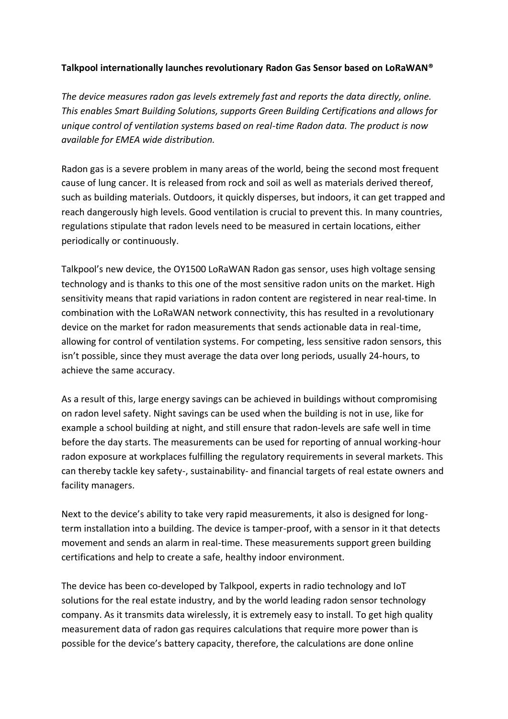## **Talkpool internationally launches revolutionary Radon Gas Sensor based on LoRaWAN®**

*The device measures radon gas levels extremely fast and reports the data directly, online. This enables Smart Building Solutions, supports Green Building Certifications and allows for unique control of ventilation systems based on real-time Radon data. The product is now available for EMEA wide distribution.*

Radon gas is a severe problem in many areas of the world, being the second most frequent cause of lung cancer. It is released from rock and soil as well as materials derived thereof, such as building materials. Outdoors, it quickly disperses, but indoors, it can get trapped and reach dangerously high levels. Good ventilation is crucial to prevent this. In many countries, regulations stipulate that radon levels need to be measured in certain locations, either periodically or continuously.

Talkpool's new device, the OY1500 LoRaWAN Radon gas sensor, uses high voltage sensing technology and is thanks to this one of the most sensitive radon units on the market. High sensitivity means that rapid variations in radon content are registered in near real-time. In combination with the LoRaWAN network connectivity, this has resulted in a revolutionary device on the market for radon measurements that sends actionable data in real-time, allowing for control of ventilation systems. For competing, less sensitive radon sensors, this isn't possible, since they must average the data over long periods, usually 24-hours, to achieve the same accuracy.

As a result of this, large energy savings can be achieved in buildings without compromising on radon level safety. Night savings can be used when the building is not in use, like for example a school building at night, and still ensure that radon-levels are safe well in time before the day starts. The measurements can be used for reporting of annual working-hour radon exposure at workplaces fulfilling the regulatory requirements in several markets. This can thereby tackle key safety-, sustainability- and financial targets of real estate owners and facility managers.

Next to the device's ability to take very rapid measurements, it also is designed for longterm installation into a building. The device is tamper-proof, with a sensor in it that detects movement and sends an alarm in real-time. These measurements support green building certifications and help to create a safe, healthy indoor environment.

The device has been co-developed by Talkpool, experts in radio technology and IoT solutions for the real estate industry, and by the world leading radon sensor technology company. As it transmits data wirelessly, it is extremely easy to install. To get high quality measurement data of radon gas requires calculations that require more power than is possible for the device's battery capacity, therefore, the calculations are done online